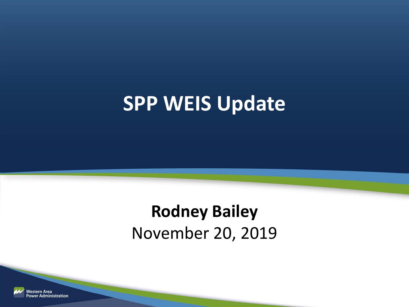## **SPP WEIS Update**

#### **Rodney Bailey**  November 20, 2019

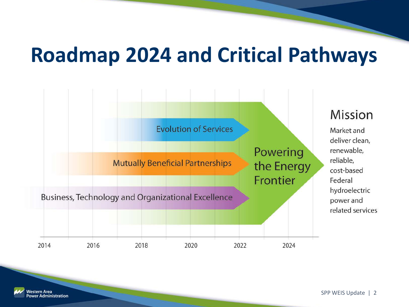#### **Roadmap 2024 and Critical Pathways**



estern Area **Administration**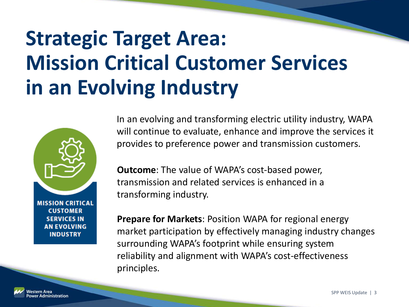# **Strategic Target Area: Mission Critical Customer Services in an Evolving Industry**



tern Area

**dministration** 

In an evolving and transforming electric utility industry, WAPA will continue to evaluate, enhance and improve the services it provides to preference power and transmission customers.

**Outcome**: The value of WAPA's cost-based power, transmission and related services is enhanced in a transforming industry.

**Prepare for Markets**: Position WAPA for regional energy market participation by effectively managing industry changes surrounding WAPA's footprint while ensuring system reliability and alignment with WAPA's cost-effectiveness principles.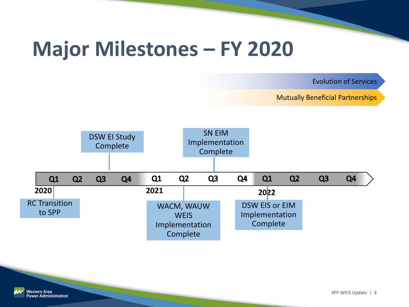## **Major Milestones – FY 2020**

Evolution of Services

Mutually Beneficial Partnerships

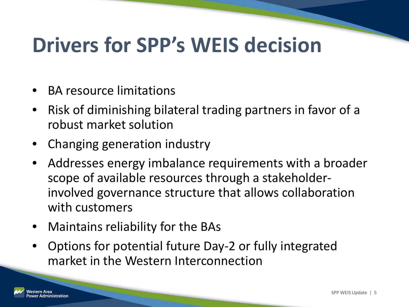## **Drivers for SPP's WEIS decision**

- BA resource limitations
- Risk of diminishing bilateral trading partners in favor of a robust market solution
- Changing generation industry
- Addresses energy imbalance requirements with a broader scope of available resources through a stakeholderinvolved governance structure that allows collaboration with customers
- Maintains reliability for the BAs
- Options for potential future Day-2 or fully integrated market in the Western Interconnection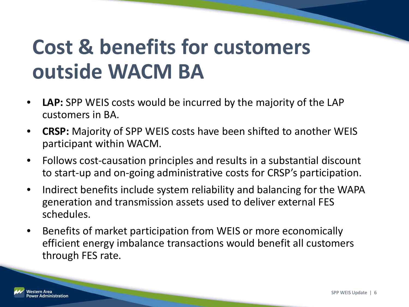# **Cost & benefits for customers outside WACM BA**

- **LAP:** SPP WEIS costs would be incurred by the majority of the LAP customers in BA.
- **CRSP:** Majority of SPP WEIS costs have been shifted to another WEIS participant within WACM.
- Follows cost-causation principles and results in a substantial discount to start-up and on-going administrative costs for CRSP's participation.
- Indirect benefits include system reliability and balancing for the WAPA generation and transmission assets used to deliver external FES schedules.
- Benefits of market participation from WEIS or more economically efficient energy imbalance transactions would benefit all customers through FES rate.

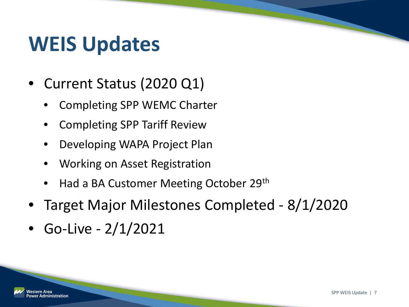### **WEIS Updates**

- Current Status (2020 Q1)
	- Completing SPP WEMC Charter
	- Completing SPP Tariff Review
	- Developing WAPA Project Plan
	- Working on Asset Registration
	- Had a BA Customer Meeting October 29th
- Target Major Milestones Completed 8/1/2020
- Go-Live 2/1/2021